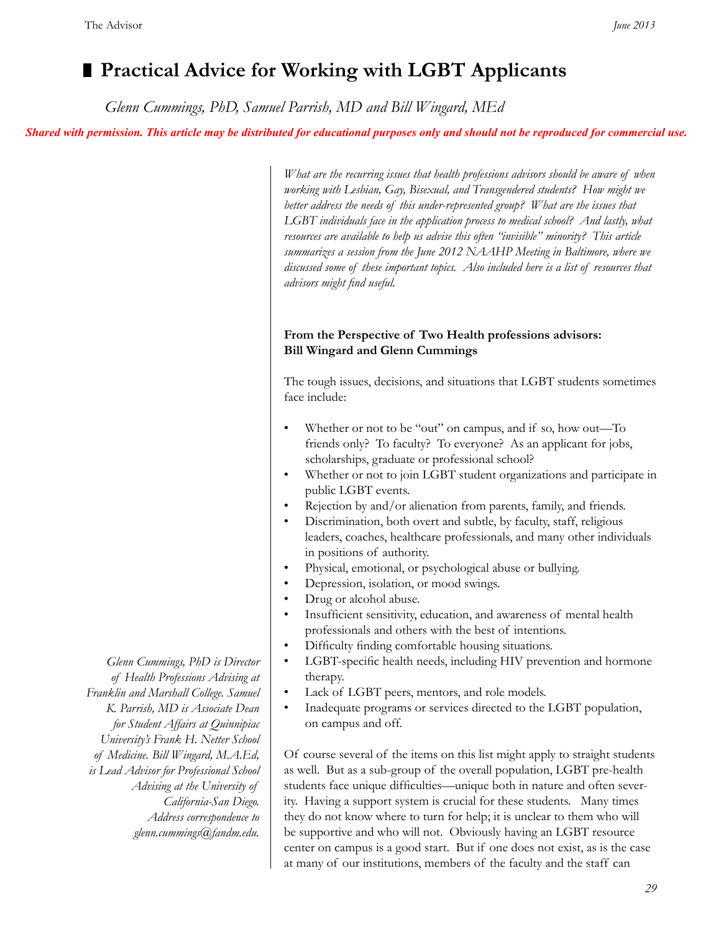# **Practical Advice for Working with LGBT Applicants**

 *Glenn Cummings, PhD, Samuel Parrish, MD and Bill Wingard, MEd*

*Shared with permission. This article may be distributed for educational purposes only and should not be reproduced for commercial use.*

*What are the recurring issues that health professions advisors should be aware of when working with Lesbian, Gay, Bisexual, and Transgendered students? How might we better address the needs of this under-represented group? What are the issues that*  LGBT individuals face in the application process to medical school? And lastly, what *resources are available to help us advise this often "invisible" minority? This article summarizes a session from the June 2012 NAAHP Meeting in Baltimore, where we discussed some of these important topics. Also included here is a list of resources that advisors might find useful.*

# **From the Perspective of Two Health professions advisors: Bill Wingard and Glenn Cummings**

The tough issues, decisions, and situations that LGBT students sometimes face include:

- Whether or not to be "out" on campus, and if so, how out—To friends only? To faculty? To everyone? As an applicant for jobs, scholarships, graduate or professional school?
- Whether or not to join LGBT student organizations and participate in public LGBT events.
- Rejection by and/or alienation from parents, family, and friends.
- Discrimination, both overt and subtle, by faculty, staff, religious leaders, coaches, healthcare professionals, and many other individuals in positions of authority.
- Physical, emotional, or psychological abuse or bullying.
- Depression, isolation, or mood swings.
- Drug or alcohol abuse.
- Insufficient sensitivity, education, and awareness of mental health professionals and others with the best of intentions.
- Difficulty finding comfortable housing situations.
- LGBT-specific health needs, including HIV prevention and hormone therapy.
- Lack of LGBT peers, mentors, and role models.
- Inadequate programs or services directed to the LGBT population, on campus and off.

Of course several of the items on this list might apply to straight students as well. But as a sub-group of the overall population, LGBT pre-health students face unique difficulties—unique both in nature and often severity. Having a support system is crucial for these students. Many times they do not know where to turn for help; it is unclear to them who will be supportive and who will not. Obviously having an LGBT resource center on campus is a good start. But if one does not exist, as is the case at many of our institutions, members of the faculty and the staff can

*Glenn Cummings, PhD is Director of Health Professions Advising at Franklin and Marshall College. Samuel K. Parrish, MD is Associate Dean for Student Affairs at Quinnipiac University's Frank H. Netter School of Medicine. Bill Wingard, M.A.Ed, is Lead Advisor for Professional School Advising at the University of California-San Diego. Address correspondence to glenn.cummings@fandm.edu.*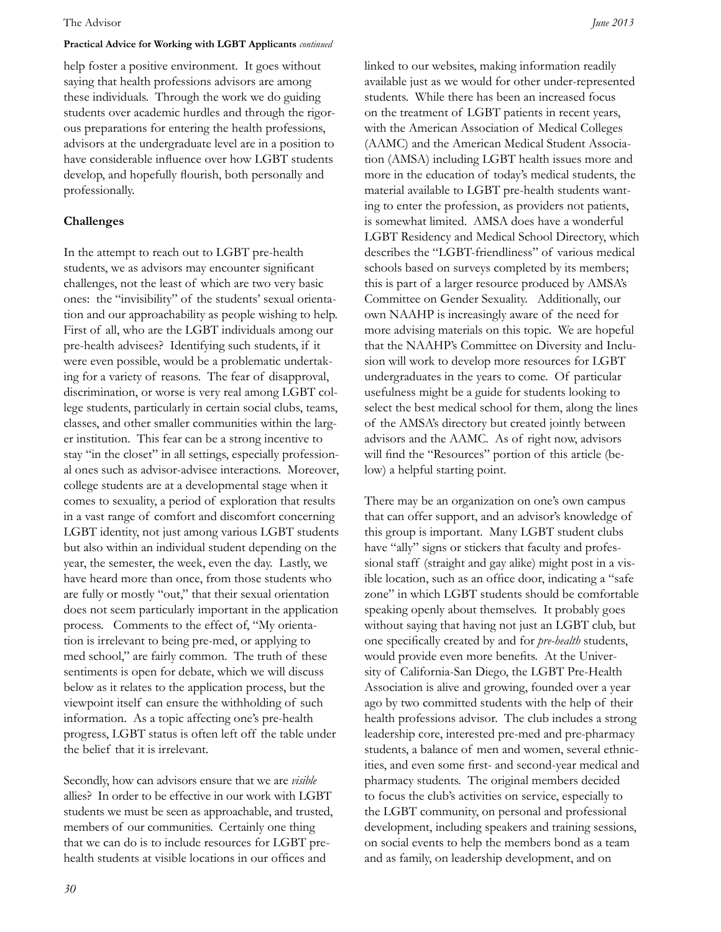#### The Advisor *June 2013*

#### **Practical Advice for Working with LGBT Applicants** *continued*

help foster a positive environment. It goes without saying that health professions advisors are among these individuals. Through the work we do guiding students over academic hurdles and through the rigorous preparations for entering the health professions, advisors at the undergraduate level are in a position to have considerable influence over how LGBT students develop, and hopefully flourish, both personally and professionally.

#### **Challenges**

In the attempt to reach out to LGBT pre-health students, we as advisors may encounter significant challenges, not the least of which are two very basic ones: the "invisibility" of the students' sexual orientation and our approachability as people wishing to help. First of all, who are the LGBT individuals among our pre-health advisees? Identifying such students, if it were even possible, would be a problematic undertaking for a variety of reasons. The fear of disapproval, discrimination, or worse is very real among LGBT college students, particularly in certain social clubs, teams, classes, and other smaller communities within the larger institution. This fear can be a strong incentive to stay "in the closet" in all settings, especially professional ones such as advisor-advisee interactions. Moreover, college students are at a developmental stage when it comes to sexuality, a period of exploration that results in a vast range of comfort and discomfort concerning LGBT identity, not just among various LGBT students but also within an individual student depending on the year, the semester, the week, even the day. Lastly, we have heard more than once, from those students who are fully or mostly "out," that their sexual orientation does not seem particularly important in the application process. Comments to the effect of, "My orientation is irrelevant to being pre-med, or applying to med school," are fairly common. The truth of these sentiments is open for debate, which we will discuss below as it relates to the application process, but the viewpoint itself can ensure the withholding of such information. As a topic affecting one's pre-health progress, LGBT status is often left off the table under the belief that it is irrelevant.

Secondly, how can advisors ensure that we are *visible*  allies? In order to be effective in our work with LGBT students we must be seen as approachable, and trusted, members of our communities. Certainly one thing that we can do is to include resources for LGBT prehealth students at visible locations in our offices and

linked to our websites, making information readily available just as we would for other under-represented students. While there has been an increased focus on the treatment of LGBT patients in recent years, with the American Association of Medical Colleges (AAMC) and the American Medical Student Association (AMSA) including LGBT health issues more and more in the education of today's medical students, the material available to LGBT pre-health students wanting to enter the profession, as providers not patients, is somewhat limited. AMSA does have a wonderful LGBT Residency and Medical School Directory, which describes the "LGBT-friendliness" of various medical schools based on surveys completed by its members; this is part of a larger resource produced by AMSA's Committee on Gender Sexuality. Additionally, our own NAAHP is increasingly aware of the need for more advising materials on this topic. We are hopeful that the NAAHP's Committee on Diversity and Inclusion will work to develop more resources for LGBT undergraduates in the years to come. Of particular usefulness might be a guide for students looking to select the best medical school for them, along the lines of the AMSA's directory but created jointly between advisors and the AAMC. As of right now, advisors will find the "Resources" portion of this article (below) a helpful starting point.

There may be an organization on one's own campus that can offer support, and an advisor's knowledge of this group is important. Many LGBT student clubs have "ally" signs or stickers that faculty and professional staff (straight and gay alike) might post in a visible location, such as an office door, indicating a "safe zone" in which LGBT students should be comfortable speaking openly about themselves. It probably goes without saying that having not just an LGBT club, but one specifically created by and for *pre-health* students, would provide even more benefits. At the University of California-San Diego, the LGBT Pre-Health Association is alive and growing, founded over a year ago by two committed students with the help of their health professions advisor. The club includes a strong leadership core, interested pre-med and pre-pharmacy students, a balance of men and women, several ethnicities, and even some first- and second-year medical and pharmacy students. The original members decided to focus the club's activities on service, especially to the LGBT community, on personal and professional development, including speakers and training sessions, on social events to help the members bond as a team and as family, on leadership development, and on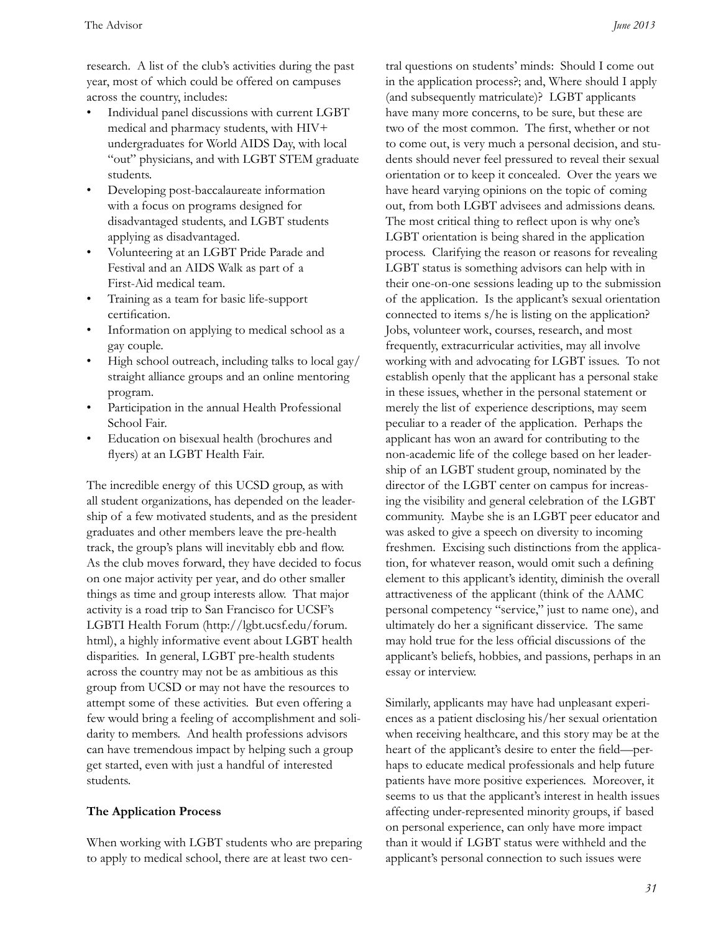research. A list of the club's activities during the past year, most of which could be offered on campuses across the country, includes:

- Individual panel discussions with current LGBT medical and pharmacy students, with HIV+ undergraduates for World AIDS Day, with local "out" physicians, and with LGBT STEM graduate students.
- Developing post-baccalaureate information with a focus on programs designed for disadvantaged students, and LGBT students applying as disadvantaged.
- Volunteering at an LGBT Pride Parade and Festival and an AIDS Walk as part of a First-Aid medical team.
- Training as a team for basic life-support certification.
- Information on applying to medical school as a gay couple.
- High school outreach, including talks to local gay/ straight alliance groups and an online mentoring program.
- Participation in the annual Health Professional School Fair.
- Education on bisexual health (brochures and flyers) at an LGBT Health Fair.

The incredible energy of this UCSD group, as with all student organizations, has depended on the leadership of a few motivated students, and as the president graduates and other members leave the pre-health track, the group's plans will inevitably ebb and flow. As the club moves forward, they have decided to focus on one major activity per year, and do other smaller things as time and group interests allow. That major activity is a road trip to San Francisco for UCSF's LGBTI Health Forum (http://lgbt.ucsf.edu/forum. html), a highly informative event about LGBT health disparities. In general, LGBT pre-health students across the country may not be as ambitious as this group from UCSD or may not have the resources to attempt some of these activities. But even offering a few would bring a feeling of accomplishment and solidarity to members. And health professions advisors can have tremendous impact by helping such a group get started, even with just a handful of interested students.

# **The Application Process**

When working with LGBT students who are preparing to apply to medical school, there are at least two cen-

tral questions on students' minds: Should I come out in the application process?; and, Where should I apply (and subsequently matriculate)? LGBT applicants have many more concerns, to be sure, but these are two of the most common. The first, whether or not to come out, is very much a personal decision, and students should never feel pressured to reveal their sexual orientation or to keep it concealed. Over the years we have heard varying opinions on the topic of coming out, from both LGBT advisees and admissions deans. The most critical thing to reflect upon is why one's LGBT orientation is being shared in the application process. Clarifying the reason or reasons for revealing LGBT status is something advisors can help with in their one-on-one sessions leading up to the submission of the application. Is the applicant's sexual orientation connected to items s/he is listing on the application? Jobs, volunteer work, courses, research, and most frequently, extracurricular activities, may all involve working with and advocating for LGBT issues. To not establish openly that the applicant has a personal stake in these issues, whether in the personal statement or merely the list of experience descriptions, may seem peculiar to a reader of the application. Perhaps the applicant has won an award for contributing to the non-academic life of the college based on her leadership of an LGBT student group, nominated by the director of the LGBT center on campus for increasing the visibility and general celebration of the LGBT community. Maybe she is an LGBT peer educator and was asked to give a speech on diversity to incoming freshmen. Excising such distinctions from the application, for whatever reason, would omit such a defining element to this applicant's identity, diminish the overall attractiveness of the applicant (think of the AAMC personal competency "service," just to name one), and ultimately do her a significant disservice. The same may hold true for the less official discussions of the applicant's beliefs, hobbies, and passions, perhaps in an essay or interview.

Similarly, applicants may have had unpleasant experiences as a patient disclosing his/her sexual orientation when receiving healthcare, and this story may be at the heart of the applicant's desire to enter the field—perhaps to educate medical professionals and help future patients have more positive experiences. Moreover, it seems to us that the applicant's interest in health issues affecting under-represented minority groups, if based on personal experience, can only have more impact than it would if LGBT status were withheld and the applicant's personal connection to such issues were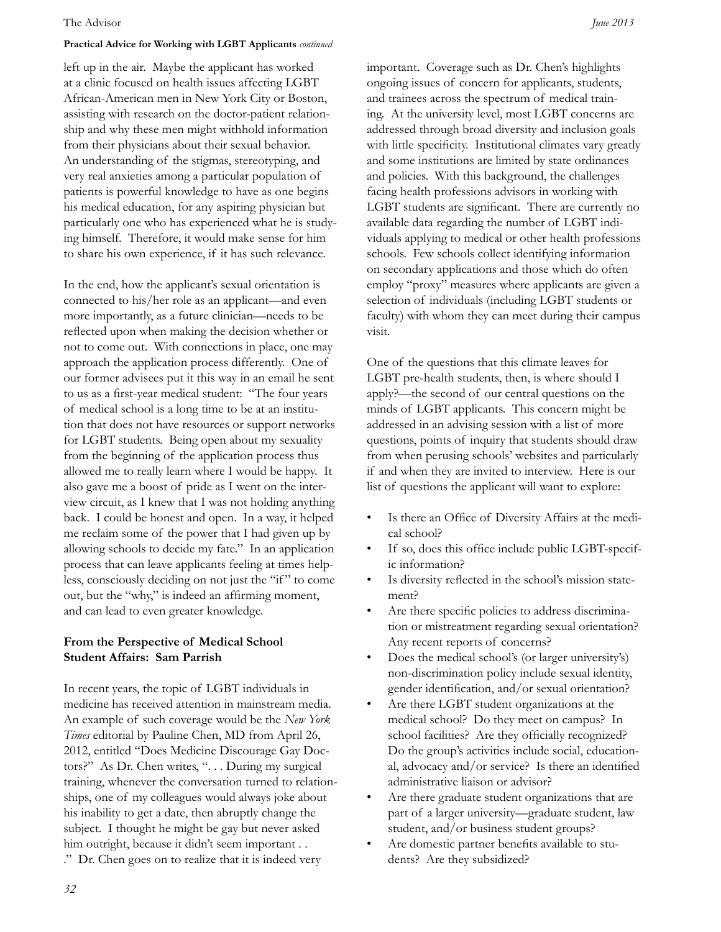#### The Advisor *June 2013*

#### **Practical Advice for Working with LGBT Applicants** *continued*

left up in the air. Maybe the applicant has worked at a clinic focused on health issues affecting LGBT African-American men in New York City or Boston, assisting with research on the doctor-patient relationship and why these men might withhold information from their physicians about their sexual behavior. An understanding of the stigmas, stereotyping, and very real anxieties among a particular population of patients is powerful knowledge to have as one begins his medical education, for any aspiring physician but particularly one who has experienced what he is studying himself. Therefore, it would make sense for him to share his own experience, if it has such relevance.

In the end, how the applicant's sexual orientation is connected to his/her role as an applicant—and even more importantly, as a future clinician—needs to be reflected upon when making the decision whether or not to come out. With connections in place, one may approach the application process differently. One of our former advisees put it this way in an email he sent to us as a first-year medical student: "The four years of medical school is a long time to be at an institution that does not have resources or support networks for LGBT students. Being open about my sexuality from the beginning of the application process thus allowed me to really learn where I would be happy. It also gave me a boost of pride as I went on the interview circuit, as I knew that I was not holding anything back. I could be honest and open. In a way, it helped me reclaim some of the power that I had given up by allowing schools to decide my fate." In an application process that can leave applicants feeling at times helpless, consciously deciding on not just the "if " to come out, but the "why," is indeed an affirming moment, and can lead to even greater knowledge.

#### **From the Perspective of Medical School Student Affairs: Sam Parrish**

In recent years, the topic of LGBT individuals in medicine has received attention in mainstream media. An example of such coverage would be the *New York Times* editorial by Pauline Chen, MD from April 26, 2012, entitled "Does Medicine Discourage Gay Doctors?" As Dr. Chen writes, "... During my surgical training, whenever the conversation turned to relationships, one of my colleagues would always joke about his inability to get a date, then abruptly change the subject. I thought he might be gay but never asked him outright, because it didn't seem important . . ." Dr. Chen goes on to realize that it is indeed very

important. Coverage such as Dr. Chen's highlights ongoing issues of concern for applicants, students, and trainees across the spectrum of medical training. At the university level, most LGBT concerns are addressed through broad diversity and inclusion goals with little specificity. Institutional climates vary greatly and some institutions are limited by state ordinances and policies. With this background, the challenges facing health professions advisors in working with LGBT students are significant. There are currently no available data regarding the number of LGBT individuals applying to medical or other health professions schools. Few schools collect identifying information on secondary applications and those which do often employ "proxy" measures where applicants are given a selection of individuals (including LGBT students or faculty) with whom they can meet during their campus visit.

One of the questions that this climate leaves for LGBT pre-health students, then, is where should I apply?—the second of our central questions on the minds of LGBT applicants. This concern might be addressed in an advising session with a list of more questions, points of inquiry that students should draw from when perusing schools' websites and particularly if and when they are invited to interview. Here is our list of questions the applicant will want to explore:

- Is there an Office of Diversity Affairs at the medical school?
- If so, does this office include public LGBT-specific information?
- Is diversity reflected in the school's mission statement?
- Are there specific policies to address discrimination or mistreatment regarding sexual orientation? Any recent reports of concerns?
- Does the medical school's (or larger university's) non-discrimination policy include sexual identity, gender identification, and/or sexual orientation?
- Are there LGBT student organizations at the medical school? Do they meet on campus? In school facilities? Are they officially recognized? Do the group's activities include social, educational, advocacy and/or service? Is there an identified administrative liaison or advisor?
- Are there graduate student organizations that are part of a larger university—graduate student, law student, and/or business student groups?
- Are domestic partner benefits available to students? Are they subsidized?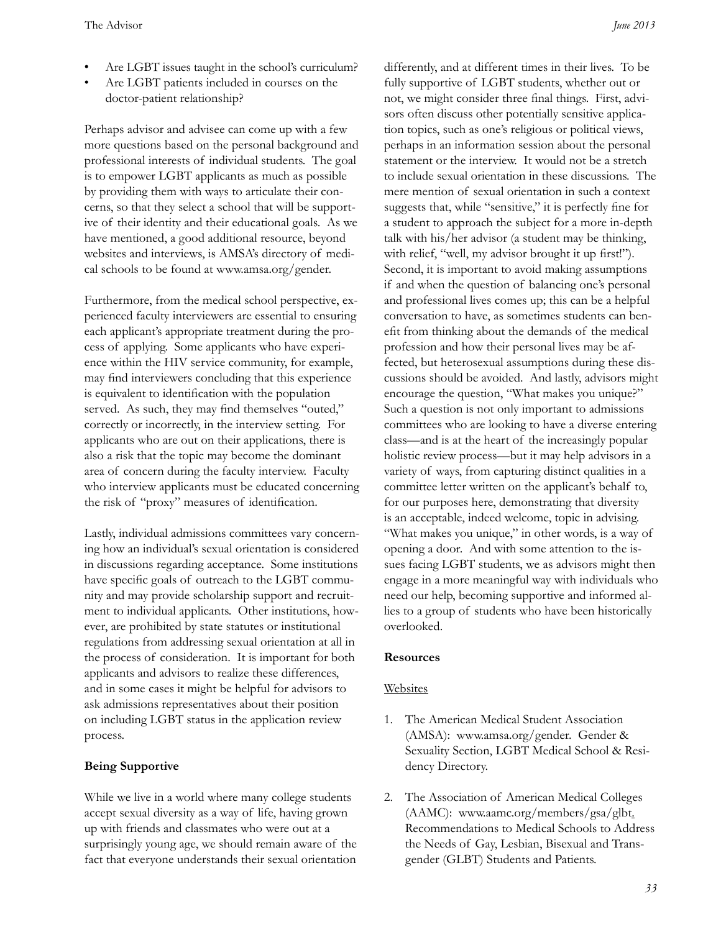- Are LGBT issues taught in the school's curriculum?
- Are LGBT patients included in courses on the doctor-patient relationship?

Perhaps advisor and advisee can come up with a few more questions based on the personal background and professional interests of individual students. The goal is to empower LGBT applicants as much as possible by providing them with ways to articulate their concerns, so that they select a school that will be supportive of their identity and their educational goals. As we have mentioned, a good additional resource, beyond websites and interviews, is AMSA's directory of medical schools to be found at www.amsa.org/gender.

Furthermore, from the medical school perspective, experienced faculty interviewers are essential to ensuring each applicant's appropriate treatment during the process of applying. Some applicants who have experience within the HIV service community, for example, may find interviewers concluding that this experience is equivalent to identification with the population served. As such, they may find themselves "outed," correctly or incorrectly, in the interview setting. For applicants who are out on their applications, there is also a risk that the topic may become the dominant area of concern during the faculty interview. Faculty who interview applicants must be educated concerning the risk of "proxy" measures of identification.

Lastly, individual admissions committees vary concerning how an individual's sexual orientation is considered in discussions regarding acceptance. Some institutions have specific goals of outreach to the LGBT community and may provide scholarship support and recruitment to individual applicants. Other institutions, however, are prohibited by state statutes or institutional regulations from addressing sexual orientation at all in the process of consideration. It is important for both applicants and advisors to realize these differences, and in some cases it might be helpful for advisors to ask admissions representatives about their position on including LGBT status in the application review process.

## **Being Supportive**

While we live in a world where many college students accept sexual diversity as a way of life, having grown up with friends and classmates who were out at a surprisingly young age, we should remain aware of the fact that everyone understands their sexual orientation

differently, and at different times in their lives. To be fully supportive of LGBT students, whether out or not, we might consider three final things. First, advisors often discuss other potentially sensitive application topics, such as one's religious or political views, perhaps in an information session about the personal statement or the interview. It would not be a stretch to include sexual orientation in these discussions. The mere mention of sexual orientation in such a context suggests that, while "sensitive," it is perfectly fine for a student to approach the subject for a more in-depth talk with his/her advisor (a student may be thinking, with relief, "well, my advisor brought it up first!"). Second, it is important to avoid making assumptions if and when the question of balancing one's personal and professional lives comes up; this can be a helpful conversation to have, as sometimes students can benefit from thinking about the demands of the medical profession and how their personal lives may be affected, but heterosexual assumptions during these discussions should be avoided. And lastly, advisors might encourage the question, "What makes you unique?" Such a question is not only important to admissions committees who are looking to have a diverse entering class—and is at the heart of the increasingly popular holistic review process—but it may help advisors in a variety of ways, from capturing distinct qualities in a committee letter written on the applicant's behalf to, for our purposes here, demonstrating that diversity is an acceptable, indeed welcome, topic in advising. "What makes you unique," in other words, is a way of opening a door. And with some attention to the issues facing LGBT students, we as advisors might then engage in a more meaningful way with individuals who need our help, becoming supportive and informed allies to a group of students who have been historically overlooked.

#### **Resources**

## Websites

- 1. The American Medical Student Association (AMSA): www.amsa.org/gender. Gender & Sexuality Section, LGBT Medical School & Residency Directory.
- 2. The Association of American Medical Colleges (AAMC): www.aamc.org/members/gsa/glbt. Recommendations to Medical Schools to Address the Needs of Gay, Lesbian, Bisexual and Transgender (GLBT) Students and Patients.